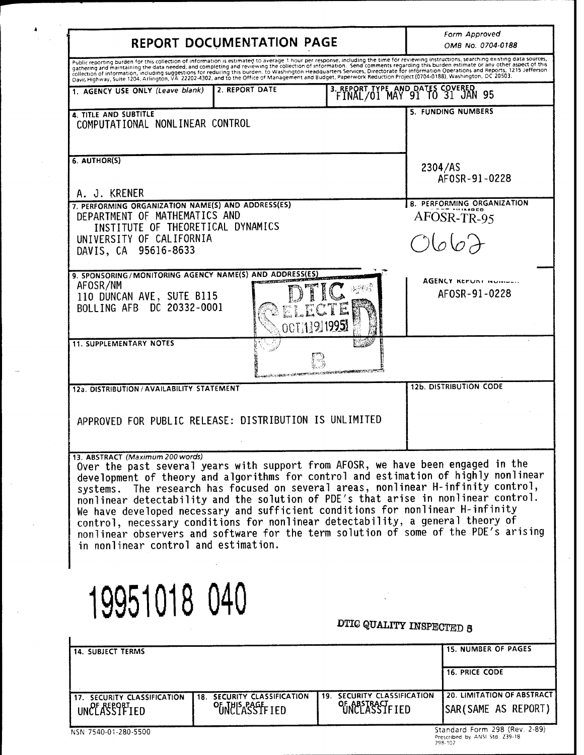| REPORT DOCUMENTATION PAGE                                                                                                                                                                                                                                                                                                                                                                                                                                                                                                                                                                                                                                                                 | Form Approved<br>OMB No. 0704-0188                            |
|-------------------------------------------------------------------------------------------------------------------------------------------------------------------------------------------------------------------------------------------------------------------------------------------------------------------------------------------------------------------------------------------------------------------------------------------------------------------------------------------------------------------------------------------------------------------------------------------------------------------------------------------------------------------------------------------|---------------------------------------------------------------|
| Public reporting burden for this collection of information is estimated to average 1 hour per response, including the time for reviewing instructions, searching existing data sources,<br>gathering and maintaining the data needed, and completing and reviewing the collection of information. Send comments regarding this burden estimate or any other aspect of this<br>gamering and momenting the data necded, and completing and reviewing the concentration experience of information Operations and Reports, 1215 Jefferson<br>collection of information, including suggestions for reducing this bur                                                                           |                                                               |
| 2. REPORT DATE<br>1. AGENCY USE ONLY (Leave blank)                                                                                                                                                                                                                                                                                                                                                                                                                                                                                                                                                                                                                                        | 3. REPORT TYPE AND DATES COVERED FINAL/01 MAY 91 TO 31 JAN 95 |
| 4. TITLE AND SUBTITLE<br>COMPUTATIONAL NONLINEAR CONTROL                                                                                                                                                                                                                                                                                                                                                                                                                                                                                                                                                                                                                                  | 5. FUNDING NUMBERS                                            |
| 6. AUTHOR(S)                                                                                                                                                                                                                                                                                                                                                                                                                                                                                                                                                                                                                                                                              | 2304/AS<br>AF0SR-91-0228                                      |
| A. J. KRENER<br>7. PERFORMING ORGANIZATION NAME(S) AND ADDRESS(ES)<br>DEPARTMENT OF MATHEMATICS AND<br>INSTITUTE OF THEORETICAL DYNAMICS<br>UNIVERSITY OF CALIFORNIA<br>DAVIS, CA 95616-8633                                                                                                                                                                                                                                                                                                                                                                                                                                                                                              | 8. PERFORMING ORGANIZATION<br>AFOSR-TR-95<br>O667             |
| 9. SPONSORING / MONITORING AGENCY NAME(S) AND ADDRESS(ES)<br>AFOSR/NM<br>110 DUNCAN AVE, SUTE B115<br>BOLLING AFB DC 20332-0001<br>OCT 11919951                                                                                                                                                                                                                                                                                                                                                                                                                                                                                                                                           | AGENCY KEMUNI INDIVIALI<br>AFOSR-91-0228                      |
| <b>11. SUPPLEMENTARY NOTES</b><br>TANA KERAMA TANGGARAN DI PRANCIPALAN KELAMATAN PADA ATA                                                                                                                                                                                                                                                                                                                                                                                                                                                                                                                                                                                                 |                                                               |
| 12a. DISTRIBUTION / AVAILABILITY STATEMENT<br>APPROVED FOR PUBLIC RELEASE: DISTRIBUTION IS UNLIMITED                                                                                                                                                                                                                                                                                                                                                                                                                                                                                                                                                                                      | <b>12b. DISTRIBUTION CODE</b>                                 |
| 13. ABSTRACT (Maximum 200 words)<br>Over the past several years with support from AFOSR, we have been engaged in the<br>development of theory and algorithms for control and estimation of highly nonlinear<br>systems. The research has focused on several areas, nonlinear H-infinity control,<br>nonlinear detectability and the solution of PDE's that arise in nonlinear control.<br>We have developed necessary and sufficient conditions for nonlinear H-infinity<br>control, necessary conditions for nonlinear detectability, a general theory of<br>nonlinear observers and software for the term solution of some of the PDE's arising<br>in nonlinear control and estimation. |                                                               |
| 19951018 040                                                                                                                                                                                                                                                                                                                                                                                                                                                                                                                                                                                                                                                                              | DTIC QUALITY INSPECTED 8                                      |
| <b>14. SUBJECT TERMS</b>                                                                                                                                                                                                                                                                                                                                                                                                                                                                                                                                                                                                                                                                  | <b>15. NUMBER OF PAGES</b><br><b>16. PRICE CODE</b>           |
|                                                                                                                                                                                                                                                                                                                                                                                                                                                                                                                                                                                                                                                                                           |                                                               |

 $\begin{aligned} \mathbf{A} & = \frac{1}{2} \mathbf{I} \mathbf{A} \mathbf{A} \mathbf{A} \mathbf{A} \mathbf{A} \mathbf{A} \mathbf{A} \mathbf{A} \mathbf{A} \mathbf{A} \mathbf{A} \mathbf{A} \mathbf{A} \mathbf{A} \mathbf{A} \mathbf{A} \mathbf{A} \mathbf{A} \mathbf{A} \mathbf{A} \mathbf{A} \mathbf{A} \mathbf{A} \mathbf{A} \mathbf{A} \mathbf{A} \mathbf{A} \mathbf{A} \mathbf{A} \mathbf{A} \mathbf{A} \mathbf{A} \math$ 

 $\sim$ 

 $\bar{z}$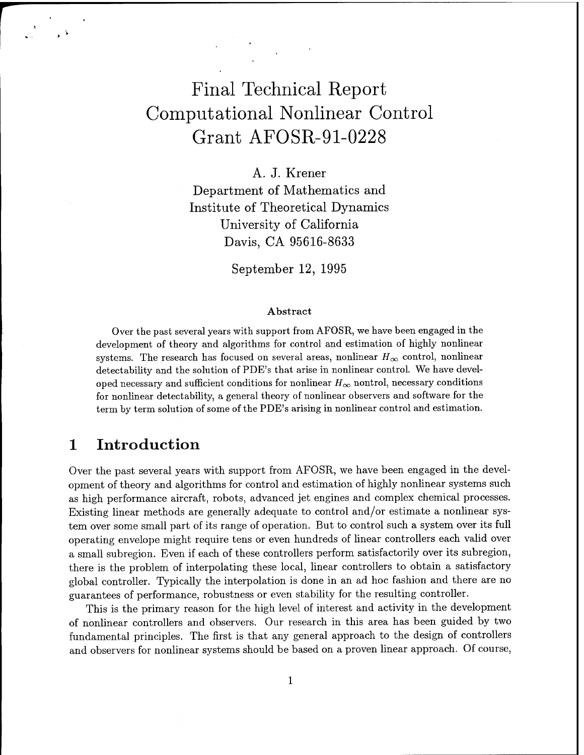# Final Technical Report Computational Nonlinear Control Grant AFOSR-91-0228

A. J. Krener Department of Mathematics and Institute of Theoretical Dynamics University of California Davis, CA 95616-8633

September 12, 1995

#### Abstract

Over the past several years with support from AFOSR, we have been engaged in the development of theory and algorithms for control and estimation of highly nonlinear systems. The research has focused on several areas, nonlinear  $H_{\infty}$  control, nonlinear detectability and the solution of PDE's that arise in nonlinear control. We have developed necessary and sufficient conditions for nonlinear  $H_{\infty}$  nontrol, necessary conditions for nonlinear detectability, a general theory of nonlinear observers and software for the term by term solution of some of the PDE's arising in nonlinear control and estimation.

## <sup>1</sup> Introduction

Over the past several years with support from AFOSR, we have been engaged in the development of theory and algorithms for control and estimation of highly nonlinear systems such as high performance aircraft, robots, advanced jet engines and complex chemical processes. Existing linear methods are generally adequate to control and/or estimate a nonlinear system over some small part of its range of operation. But to control such a system over its full operating envelope might require tens or even hundreds of linear controllers each valid over a small subregion. Even if each of these controllers perform satisfactorily over its subregion, there is the problem of interpolating these local, linear controllers to obtain a satisfactory global controller. Typically the interpolation is done in an ad hoc fashion and there are no guarantees of performance, robustness or even stability for the resulting controller.

This is the primary reason for the high level of interest and activity in the development of nonlinear controllers and observers. Our research in this area has been guided by two fundamental principles. The first is that any general approach to the design of controllers and observers for nonlinear systems should be based on a proven linear approach. Of course,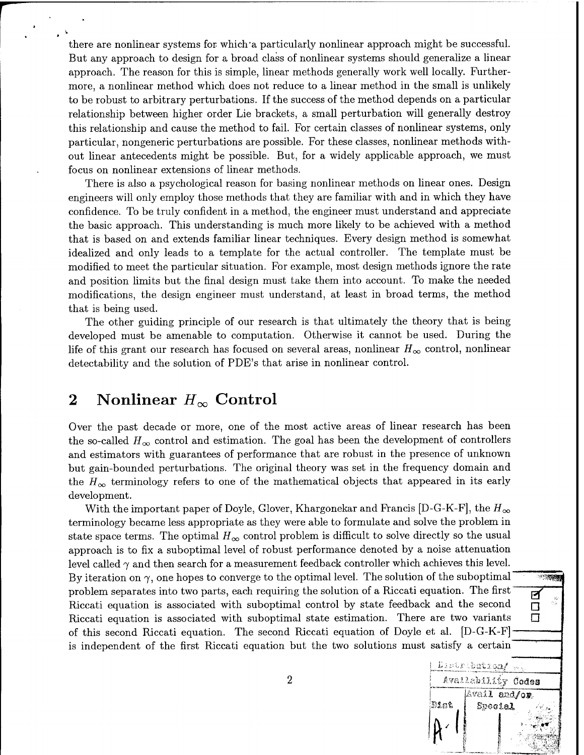there are nonlinear systems for which'a particularly nonlinear approach might be successful. But any approach to design for a broad class of nonlinear systems should generalize a linear approach. The reason for this is simple, linear methods generally work well locally. Furthermore, a nonlinear method which does not reduce to a linear method in the small is unlikely to be robust to arbitrary perturbations. If the success of the method depends on a particular relationship between higher order Lie brackets, a small perturbation will generally destroy this relationship and cause the method to fail. For certain classes of nonlinear systems, only particular, nongeneric perturbations are possible. For these classes, nonlinear methods without linear antecedents might be possible. But, for a widely applicable approach, we must focus on nonlinear extensions of linear methods.

There is also a psychological reason for basing nonlinear methods on linear ones. Design engineers will only employ those methods that they are familiar with and in which they have confidence. To be truly confident in a method, the engineer must understand and appreciate the basic approach. This understanding is much more likely to be achieved with a method that is based on and extends familiar linear techniques. Every design method is somewhat idealized and only leads to a template for the actual controller. The template must be modified to meet the particular situation. For example, most design methods ignore the rate and position limits but the final design must take them into account. To make the needed modifications, the design engineer must understand, at least in broad terms, the method that is being used.

The other guiding principle of our research is that ultimately the theory that is being developed must be amenable to computation. Otherwise it cannot be used. During the life of this grant our research has focused on several areas, nonlinear  $H_{\infty}$  control, nonlinear detectability and the solution of PDE's that arise in nonlinear control.

#### 2 Nonlinear  $H_{\infty}$  Control

Over the past decade or more, one of the most active areas of linear research has been the so-called  $H_{\infty}$  control and estimation. The goal has been the development of controllers and estimators with guarantees of performance that are robust in the presence of unknown but gain-bounded perturbations. The original theory was set in the frequency domain and the  $H_{\infty}$  terminology refers to one of the mathematical objects that appeared in its early development.

With the important paper of Doyle, Glover, Khargonekar and Francis [D-G-K-F], the  $H_{\infty}$ terminology became less appropriate as they were able to formulate and solve the problem in state space terms. The optimal  $H_{\infty}$  control problem is difficult to solve directly so the usual approach is to fix a suboptimal level of robust performance denoted by a noise attenuation level called  $\gamma$  and then search for a measurement feedback controller which achieves this level. By iteration on  $\gamma$ , one hopes to converge to the optimal level. The solution of the suboptimal  $\rightarrow$ problem separates into two parts, each requiring the solution of a Riccati equation. The first  $\overline{p}$ Riccati equation is associated with suboptimal control by state feedback and the second  $\Box$ Riccati equation is associated with suboptimal state estimation. There are two variants  $\square$ of this second Riccati equation. The second Riccati equation of Doyle et al. [D-G-K-F] is independent of the first Riccati equation but the two solutions must satisfy a certain

 $\overline{a}$ Availability Codes

**.«\***

*'<,-.(* ;. *aw*

Dist | Special

**'&''**

Avail and/or

**I «** ■■**• - i/"S Si; :! ' " -^' .':**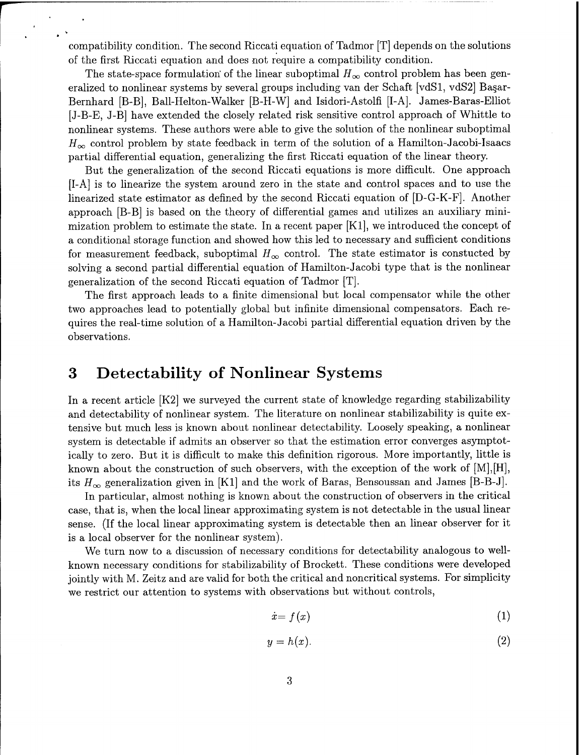compatibility condition. The second Riccati equation of Tadmor [T] depends on the solutions of the first Riccati equation and does not require a compatibility condition.

The state-space formulation of the linear suboptimal  $H_{\infty}$  control problem has been generalized to nonlinear systems by several groups including van der Schaft [vdSl, vdS2] Basar-Bernhard [B-B], Ball-Helton-Walker [B-H-W] and Isidori-Astolfi [I-A]. James-Baras-Elliot [J-B-E, J-B] have extended the closely related risk sensitive control approach of Whittle to nonlinear systems. These authors were able to give the solution of the nonlinear suboptimal  $H_{\infty}$  control problem by state feedback in term of the solution of a Hamilton-Jacobi-Isaacs partial differential equation, generalizing the first Riccati equation of the linear theory.

But the generalization of the second Riccati equations is more difficult. One approach [I-A] is to linearize the system around zero in the state and control spaces and to use the linearized state estimator as defined by the second Riccati equation of [D-G-K-F]. Another approach [B-B] is based on the theory of differential games and utilizes an auxiliary minimization problem to estimate the state. In a recent paper [Kl], we introduced the concept of a conditional storage function and showed how this led to necessary and sufficient conditions for measurement feedback, suboptimal  $H_{\infty}$  control. The state estimator is constucted by solving a second partial differential equation of Hamilton-Jacobi type that is the nonlinear generalization of the second Riccati equation of Tadmor [T].

The first approach leads to a finite dimensional but local compensator while the other two approaches lead to potentially global but infinite dimensional compensators. Each requires the real-time solution of a Hamilton-Jacobi partial differential equation driven by the observations.

#### 3 Detectability of Nonlinear Systems

In a recent article [K2] we surveyed the current state of knowledge regarding stabilizability and detectability of nonlinear system. The literature on nonlinear stabilizability is quite extensive but much less is known about nonlinear detectability. Loosely speaking, a nonlinear system is detectable if admits an observer so that the estimation error converges asymptotically to zero. But it is difficult to make this definition rigorous. More importantly, little is known about the construction of such observers, with the exception of the work of  $[M], [H]$ , its  $H_{\infty}$  generalization given in [K1] and the work of Baras, Bensoussan and James [B-B-J].

In particular, almost nothing is known about the construction of observers in the critical case, that is, when the local linear approximating system is not detectable in the usual linear sense. (If the local linear approximating system is detectable then an linear observer for it is a local observer for the nonlinear system).

We turn now to a discussion of necessary conditions for detectability analogous to wellknown necessary conditions for stabilizability of Brockett. These conditions were developed jointly with M. Zeitz and are valid for both the critical and noncritical systems. For simplicity we restrict our attention to systems with observations but without controls,

$$
\dot{x} = f(x) \tag{1}
$$

$$
y = h(x). \tag{2}
$$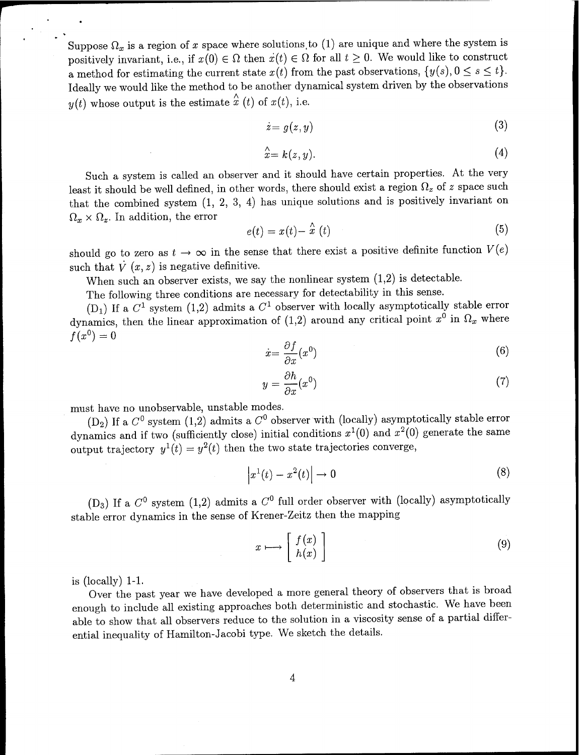Suppose  $\Omega_x$  is a region of *x* space where solutions to (1) are unique and where the system is positively invariant, i.e., if  $x(0) \in \Omega$  then  $\dot{x}(t) \in \Omega$  for all  $t \geq 0$ . We would like to construct a method for estimating the current state  $x(t)$  from the past observations,  $\{y(s), 0 \le s \le t\}$ . Ideally we would like the method to be another dynamical system driven by the observations  $y(t)$  whose output is the estimate  $\hat{x}(t)$  of  $x(t)$ , i.e.

$$
\dot{z} = g(z, y) \tag{3}
$$

$$
\hat{x} = k(z, y). \tag{4}
$$

Such a system is called an observer and it should have certain properties. At the very least it should be well defined, in other words, there should exist a region  $\Omega_z$  of *z* space such that the combined system (1, 2, 3, 4) has unique solutions and is positively invariant on  $\Omega_x \times \Omega_z$ . In addition, the error

$$
e(t) = x(t) - \hat{x}(t) \tag{5}
$$

should go to zero as  $t \to \infty$  in the sense that there exist a positive definite function  $V(e)$ such that  $\dot{V}(x, z)$  is negative definitive.

When such an observer exists, we say the nonlinear system  $(1,2)$  is detectable.

The following three conditions are necessary for detectability in this sense.

 $(D_1)$  If a  $C^1$  system  $(1,2)$  admits a  $C^1$  observer with locally asymptotically stable error dynamics, then the linear approximation of (1,2) around any critical point  $x^0$  in  $\Omega_x$  where  $f(x^0) = 0$ 

$$
\dot{x} = \frac{\partial f}{\partial x}(x^0) \tag{6}
$$

$$
y = \frac{\partial h}{\partial x}(x^0) \tag{7}
$$

must have no unobservable, unstable modes.

(D2) If a *C°* system (1,2) admits a *C°* observer with (locally) asymptotically stable error dynamics and if two (sufficiently close) initial conditions  $x^1(0)$  and  $x^2(0)$  generate the same output trajectory  $y^1(t) = y^2(t)$  then the two state trajectories converge,

$$
\left|x^{1}(t)-x^{2}(t)\right|\to 0\tag{8}
$$

(D<sub>3</sub>) If a  $C^0$  system (1,2) admits a  $C^0$  full order observer with (locally) asymptotically stable error dynamics in the sense of Krener-Zeitz then the mapping

$$
x \longmapsto \left[ \begin{array}{c} f(x) \\ h(x) \end{array} \right] \tag{9}
$$

is (locally) 1-1.

Over the past year we have developed a more general theory of observers that is broad enough to include all existing approaches both deterministic and stochastic. We have been able to show that all observers reduce to the solution in a viscosity sense of a partial differential inequality of Hamilton-Jacobi type. We sketch the details.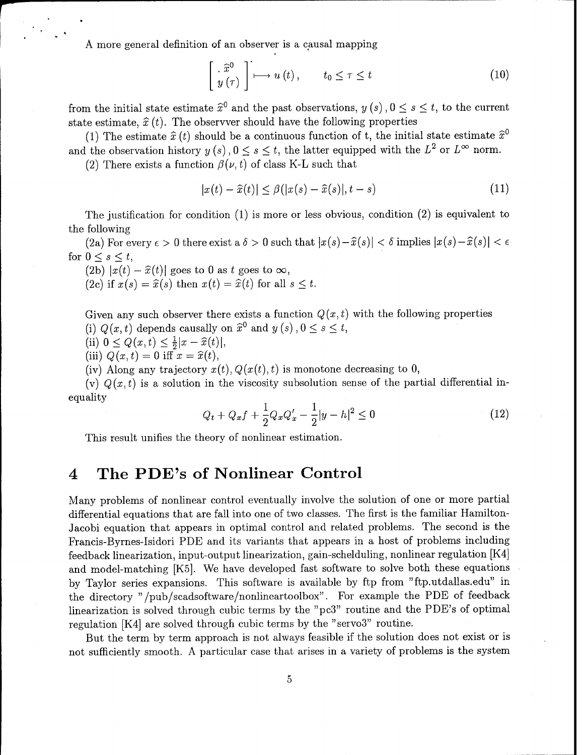A more general definition of an observer is a causal mapping

$$
\left[\begin{array}{c}\hat{x}^{0}\\y\left(\tau\right)\end{array}\right]\longmapsto u\left(t\right),\qquad t_{0}\leq\tau\leq t\tag{10}
$$

from the initial state estimate  $\hat{x}^0$  and the past observations,  $y(s)$ ,  $0 \le s \le t$ , to the current state estimate,  $\hat{x}(t)$ . The observer should have the following properties

(1) The estimate  $\hat{x}(t)$  should be a continuous function of t, the initial state estimate  $\hat{x}^0$ and the observation history  $y(s)$ ,  $0 \le s \le t$ , the latter equipped with the  $L^2$  or  $L^{\infty}$  norm.

(2) There exists a function  $\beta(\nu, t)$  of class K-L such that

$$
|x(t) - \widehat{x}(t)| \le \beta(|x(s) - \widehat{x}(s)|, t - s)
$$
\n(11)

The justification for condition (1) is more or less obvious, condition (2) is equivalent to the following

(2a) For every  $\epsilon > 0$  there exist  $a \delta > 0$  such that  $|x(s)-\hat{x}(s)| < \delta$  implies  $|x(s)-\hat{x}(s)| < \epsilon$ for  $0 \leq s \leq t$ ,

 $(2b) |x(t) - \hat{x}(t)|$  goes to 0 as t goes to  $\infty$ ,

(2c) if  $x(s) = \hat{x}(s)$  then  $x(t) = \hat{x}(t)$  for all  $s \leq t$ .

Given any such observer there exists a function  $Q(x,t)$  with the following properties (i)  $Q(x, t)$  depends causally on  $\hat{x}^0$  and  $y(s)$ ,  $0 \le s \le t$ ,

- (ii)  $0 \le Q(x,t) \le \frac{1}{2}|x-\hat{x}(t)|,$
- (iii)  $Q(x, t) = 0$  iff  $x = \hat{x}(t)$ ,

(iv) Along any trajectory  $x(t)$ ,  $Q(x(t), t)$  is monotone decreasing to 0,

(v)  $Q(x,t)$  is a solution in the viscosity subsolution sense of the partial differential inequality

$$
Q_t + Q_x f + \frac{1}{2} Q_x Q_x' - \frac{1}{2} |y - h|^2 \le 0
$$
\n(12)

This result unifies the theory of nonlinear estimation.

#### 4 The PDE's of Nonlinear Control

Many problems of nonlinear control eventually involve the solution of one or more partial differential equations that are fall into one of two classes. The first is the familiar Hamilton-Jacobi equation that appears in optimal control and related problems. The second is the Francis-Byrnes-Isidori PDE and its variants that appears in a host of problems including feedback linearization, input-output linearization, gain-schelduling, nonlinear regulation [K4] and model-matching [K5]. We have developed fast software to solve both these equations by Taylor series expansions. This software is available by ftp from "ftp.utdallas.edu" in the directory "/pub/scadsoftware/nonlineartoolbox". For example the PDE of feedback linearization is solved through cubic terms by the "pc3" routine and the PDE's of optimal regulation [K4] are solved through cubic terms by the "servo3" routine.

But the term by term approach is not always feasible if the solution does not exist or is not sufficiently smooth. A particular case that arises in a variety of problems is the system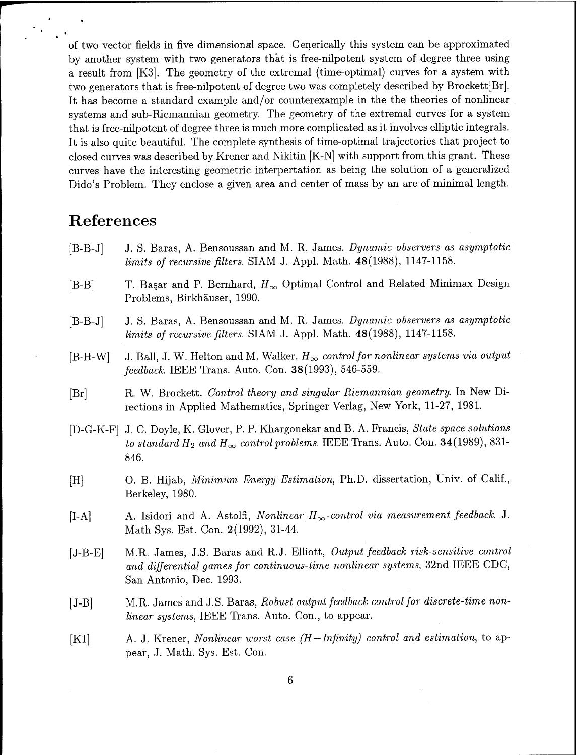of two vector fields in five dimensional space. Generically this system can be approximated by another system with two generators that is free-nilpotent system of degree three using a result from [K3]. The geometry of the extremal (time-optimal) curves for a system with two generators that is free-nilpotent of degree two was completely described by Brockett[Br]. It has become a standard example and/or counterexample in the the theories of nonlinear systems and sub-Riemannian geometry. The geometry of the extremal curves for a system that is free-nilpotent of degree three is much more complicated as it involves elliptic integrals. It is also quite beautiful. The complete synthesis of time-optimal trajectories that project to closed curves was described by Krener and Nikitin [K-N] with support from this grant. These curves have the interesting geometric interpertation as being the solution of a generalized Dido's Problem. They enclose a given area and center of mass by an arc of minimal length.

## References

- B-B-J] J. S. Baras, A. Bensoussan and M. R. James. *Dynamic observers as asymptotic limits of recursive filters.* SIAM J. Appl. Math. 48(1988), 1147-1158.
- B-B] T. Ba§ar and P. Bernhard, *H^* Optimal Control and Related Minimax Design Problems, Birkhäuser, 1990.
- B-B-J] J. S. Baras, A. Bensoussan and M. R. James. *Dynamic observers as asymptotic limits of recursive filters.* SIAM J. Appl. Math. 48(1988), 1147-1158.
- $[B-H-W]$  J. Ball, J. W. Helton and M. Walker.  $H_{\infty}$  *control for nonlinear systems via output feedback.* IEEE Trans. Auto. Con. 38(1993), 546-559.
- Br] R. W. Brockett. *Control theory and singular Riemannian geometry.* In New Directions in Applied Mathematics, Springer Verlag, New York, 11-27, 1981.
- D-G-K-F] J. C. Doyle, K. Glover, P. P. Khargonekar and B. A. Francis, *State space solutions to standard*  $H_2$  *and*  $H_{\infty}$  *control problems.* IEEE Trans. Auto. Con. 34(1989), 831-846.
- H] 0. B. Hijab, *Minimum Energy Estimation,* Ph.D. dissertation, Univ. of Calif., Berkeley, 1980.
- $[I-A]$  A. Isidori and A. Astolfi, *Nonlinear*  $H_{\infty}$ -control *via measurement feedback.* J. Math Sys. Est. Con. 2(1992), 31-44.
- J-B-E] M.R. James, J.S. Baras and R.J. Elliott, *Output feedback risk-sensitive control and differential games for continuous-time nonlinear systems,* 32nd IEEE CDC, San Antonio, Dec. 1993.
- J-B] M.R. James and J.S. Baras, *Robust output feedback control for discrete-time nonlinear systems,* IEEE Trans. Auto. Con., to appear.
- Kl] A. J. Krener, *Nonlinear worst case (H —Infinity) control and estimation,* to appear, J. Math. Sys. Est. Con.